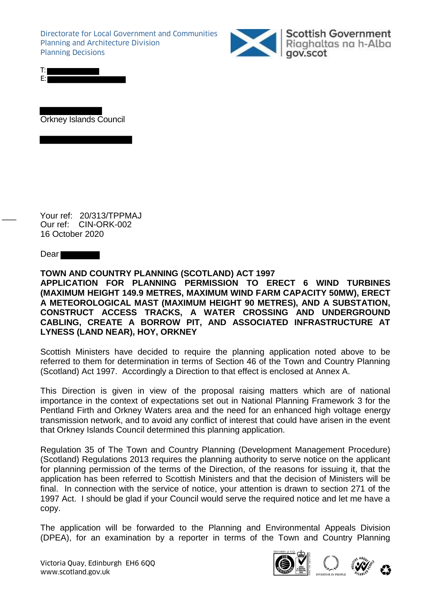Directorate for Local Government and Communities Planning and Architecture Division Planning Decisions



Scottish Government<br>Riaghaltas na h-Alba gov.scot

Orkney Islands Council

Your ref: 20/313/TPPMAJ Our ref: CIN-ORK-002 16 October 2020

Dear<sup>-</sup>

**TOWN AND COUNTRY PLANNING (SCOTLAND) ACT 1997 APPLICATION FOR PLANNING PERMISSION TO ERECT 6 WIND TURBINES (MAXIMUM HEIGHT 149.9 METRES, MAXIMUM WIND FARM CAPACITY 50MW), ERECT A METEOROLOGICAL MAST (MAXIMUM HEIGHT 90 METRES), AND A SUBSTATION, CONSTRUCT ACCESS TRACKS, A WATER CROSSING AND UNDERGROUND CABLING, CREATE A BORROW PIT, AND ASSOCIATED INFRASTRUCTURE AT LYNESS (LAND NEAR), HOY, ORKNEY**

Scottish Ministers have decided to require the planning application noted above to be referred to them for determination in terms of Section 46 of the Town and Country Planning (Scotland) Act 1997. Accordingly a Direction to that effect is enclosed at Annex A.

This Direction is given in view of the proposal raising matters which are of national importance in the context of expectations set out in National Planning Framework 3 for the Pentland Firth and Orkney Waters area and the need for an enhanced high voltage energy transmission network, and to avoid any conflict of interest that could have arisen in the event that Orkney Islands Council determined this planning application.

Regulation 35 of The Town and Country Planning (Development Management Procedure) (Scotland) Regulations 2013 requires the planning authority to serve notice on the applicant for planning permission of the terms of the Direction, of the reasons for issuing it, that the application has been referred to Scottish Ministers and that the decision of Ministers will be final. In connection with the service of notice, your attention is drawn to section 271 of the 1997 Act. I should be glad if your Council would serve the required notice and let me have a copy.

The application will be forwarded to the Planning and Environmental Appeals Division (DPEA), for an examination by a reporter in terms of the Town and Country Planning





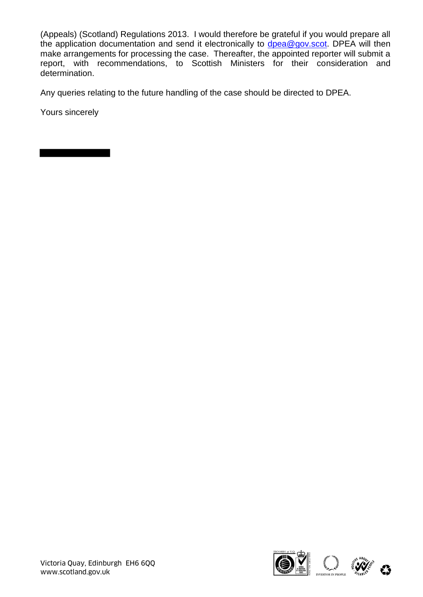(Appeals) (Scotland) Regulations 2013. I would therefore be grateful if you would prepare all the application documentation and send it electronically to  $\frac{d}{{\rm p}e{\rm a}\mathcal{Q}}$  gov.scot. DPEA will then make arrangements for processing the case. Thereafter, the appointed reporter will submit a report, with recommendations, to Scottish Ministers for their consideration and determination.

Any queries relating to the future handling of the case should be directed to DPEA.

Yours sincerely